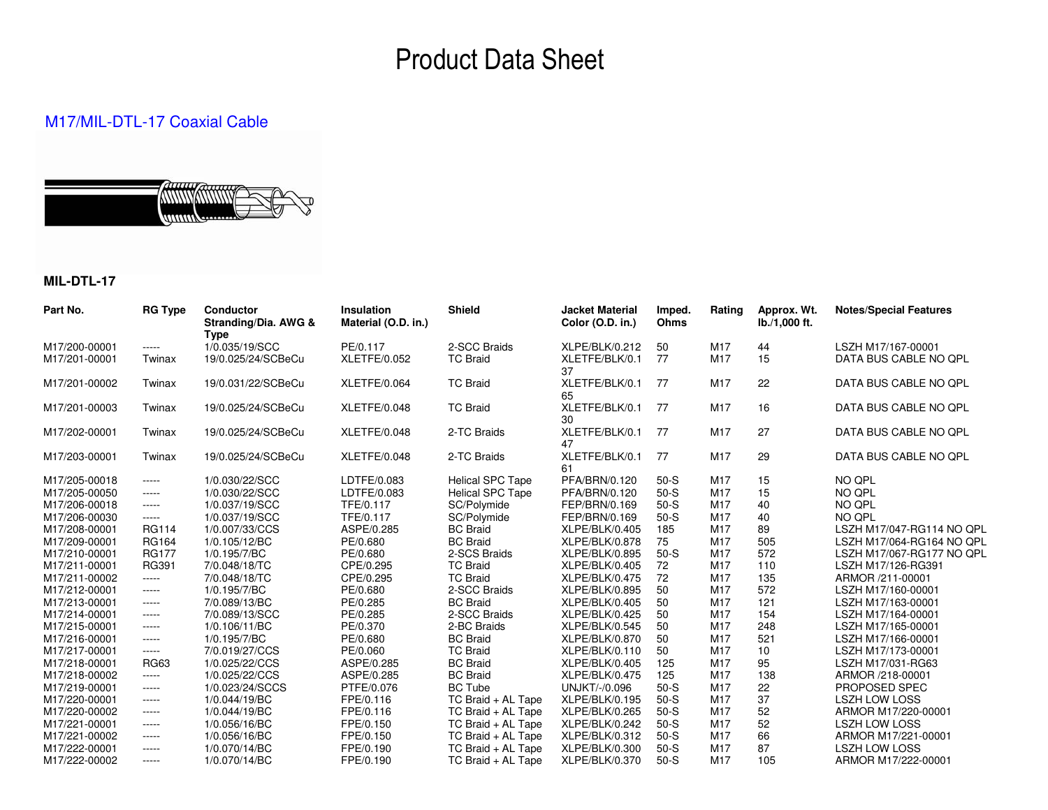# Product Data Sheet

### M17/MIL-DTL-17 Coaxial Cable

### **MIL-DTL-17**

| Part No.      | <b>RG Type</b> | <b>Conductor</b><br>Stranding/Dia. AWG &<br><b>Type</b> | <b>Insulation</b><br>Material (O.D. in.) | <b>Shield</b>           | <b>Jacket Material</b><br>Color (O.D. in.) | Imped.<br>Ohms | Rating          | Approx. Wt.<br>lb./1,000 ft. | <b>Notes/Special Features</b> |
|---------------|----------------|---------------------------------------------------------|------------------------------------------|-------------------------|--------------------------------------------|----------------|-----------------|------------------------------|-------------------------------|
| M17/200-00001 | $\cdots$       | 1/0.035/19/SCC                                          | PE/0.117                                 | 2-SCC Braids            | XLPE/BLK/0.212                             | 50             | M17             | 44                           | LSZH M17/167-00001            |
| M17/201-00001 | Twinax         | 19/0.025/24/SCBeCu                                      | XLETFE/0.052                             | <b>TC Braid</b>         | XLETFE/BLK/0.1<br>37                       | 77             | M17             | 15                           | DATA BUS CABLE NO QPL         |
| M17/201-00002 | Twinax         | 19/0.031/22/SCBeCu                                      | XLETFE/0.064                             | <b>TC Braid</b>         | XLETFE/BLK/0.1<br>65                       | 77             | M17             | 22                           | DATA BUS CABLE NO QPL         |
| M17/201-00003 | Twinax         | 19/0.025/24/SCBeCu                                      | XLETFE/0.048                             | <b>TC Braid</b>         | XLETFE/BLK/0.1<br>30                       | 77             | M17             | 16                           | DATA BUS CABLE NO QPL         |
| M17/202-00001 | Twinax         | 19/0.025/24/SCBeCu                                      | XLETFE/0.048                             | 2-TC Braids             | XLETFE/BLK/0.1<br>47                       | 77             | M17             | 27                           | DATA BUS CABLE NO QPL         |
| M17/203-00001 | Twinax         | 19/0.025/24/SCBeCu                                      | XLETFE/0.048                             | 2-TC Braids             | XLETFE/BLK/0.1<br>61                       | 77             | M17             | 29                           | DATA BUS CABLE NO QPL         |
| M17/205-00018 | $\cdots$       | 1/0.030/22/SCC                                          | LDTFE/0.083                              | <b>Helical SPC Tape</b> | PFA/BRN/0.120                              | $50-S$         | M17             | 15                           | NO QPL                        |
| M17/205-00050 | $\cdots$       | 1/0.030/22/SCC                                          | LDTFE/0.083                              | <b>Helical SPC Tape</b> | PFA/BRN/0.120                              | $50-S$         | M17             | 15                           | NO QPL                        |
| M17/206-00018 | $- - - - -$    | 1/0.037/19/SCC                                          | TFE/0.117                                | SC/Polymide             | FEP/BRN/0.169                              | $50-S$         | M17             | 40                           | NO QPL                        |
| M17/206-00030 | $- - - - -$    | 1/0.037/19/SCC                                          | TFE/0.117                                | SC/Polymide             | FEP/BRN/0.169                              | $50-S$         | M <sub>17</sub> | 40                           | NO QPL                        |
| M17/208-00001 | <b>RG114</b>   | 1/0.007/33/CCS                                          | ASPE/0.285                               | <b>BC</b> Braid         | XLPE/BLK/0.405                             | 185            | M <sub>17</sub> | 89                           | LSZH M17/047-RG114 NO QPL     |
| M17/209-00001 | <b>RG164</b>   | 1/0.105/12/BC                                           | PE/0.680                                 | <b>BC</b> Braid         | XLPE/BLK/0.878                             | 75             | M <sub>17</sub> | 505                          | LSZH M17/064-RG164 NO QPL     |
| M17/210-00001 | <b>RG177</b>   | 1/0.195/7/BC                                            | PE/0.680                                 | 2-SCS Braids            | XLPE/BLK/0.895                             | $50-S$         | M17             | 572                          | LSZH M17/067-RG177 NO QPL     |
| M17/211-00001 | <b>RG391</b>   | 7/0.048/18/TC                                           | CPE/0.295                                | <b>TC Braid</b>         | XLPE/BLK/0.405                             | 72             | M <sub>17</sub> | 110                          | LSZH M17/126-RG391            |
| M17/211-00002 | $-----$        | 7/0.048/18/TC                                           | CPE/0.295                                | <b>TC Braid</b>         | XLPE/BLK/0.475                             | 72             | M <sub>17</sub> | 135                          | ARMOR /211-00001              |
| M17/212-00001 | $- - - - -$    | 1/0.195/7/BC                                            | PE/0.680                                 | 2-SCC Braids            | XLPE/BLK/0.895                             | 50             | M <sub>17</sub> | 572                          | LSZH M17/160-00001            |
| M17/213-00001 | $-----$        | 7/0.089/13/BC                                           | PE/0.285                                 | <b>BC</b> Braid         | XLPE/BLK/0.405                             | 50             | M <sub>17</sub> | 121                          | LSZH M17/163-00001            |
| M17/214-00001 | $\cdots$       | 7/0.089/13/SCC                                          | PE/0.285                                 | 2-SCC Braids            | XLPE/BLK/0.425                             | 50             | M <sub>17</sub> | 154                          | LSZH M17/164-00001            |
| M17/215-00001 | $\cdots$       | 1/0.106/11/BC                                           | PE/0.370                                 | 2-BC Braids             | XLPE/BLK/0.545                             | 50             | M17             | 248                          | LSZH M17/165-00001            |
| M17/216-00001 | $\cdots$       | 1/0.195/7/BC                                            | PE/0.680                                 | <b>BC Braid</b>         | XLPE/BLK/0.870                             | 50             | M17             | 521                          | LSZH M17/166-00001            |
| M17/217-00001 | $\cdots$       | 7/0.019/27/CCS                                          | PE/0.060                                 | <b>TC Braid</b>         | XLPE/BLK/0.110                             | 50             | M17             | 10                           | LSZH M17/173-00001            |
| M17/218-00001 | <b>RG63</b>    | 1/0.025/22/CCS                                          | ASPE/0.285                               | <b>BC</b> Braid         | XLPE/BLK/0.405                             | 125            | M <sub>17</sub> | 95                           | LSZH M17/031-RG63             |
| M17/218-00002 | $\cdots$       | 1/0.025/22/CCS                                          | ASPE/0.285                               | <b>BC</b> Braid         | XLPE/BLK/0.475                             | 125            | M <sub>17</sub> | 138                          | ARMOR /218-00001              |
| M17/219-00001 | $- - - - -$    | 1/0.023/24/SCCS                                         | PTFE/0.076                               | <b>BC Tube</b>          | <b>UNJKT/-/0.096</b>                       | $50-S$         | M <sub>17</sub> | 22                           | PROPOSED SPEC                 |
| M17/220-00001 | $- - - - -$    | 1/0.044/19/BC                                           | FPE/0.116                                | TC Braid + AL Tape      | XLPE/BLK/0.195                             | $50-S$         | M <sub>17</sub> | 37                           | <b>LSZH LOW LOSS</b>          |
| M17/220-00002 | $- - - - -$    | 1/0.044/19/BC                                           | FPE/0.116                                | TC Braid + AL Tape      | XLPE/BLK/0.265                             | $50-S$         | M <sub>17</sub> | 52                           | ARMOR M17/220-00001           |
| M17/221-00001 | $- - - - -$    | 1/0.056/16/BC                                           | FPE/0.150                                | TC Braid + AL Tape      | XLPE/BLK/0.242                             | $50-S$         | M <sub>17</sub> | 52                           | <b>LSZH LOW LOSS</b>          |
| M17/221-00002 | $- - - - -$    | 1/0.056/16/BC                                           | FPE/0.150                                | TC Braid + AL Tape      | XLPE/BLK/0.312                             | $50-S$         | M17             | 66                           | ARMOR M17/221-00001           |
| M17/222-00001 | $\cdots$       | 1/0.070/14/BC                                           | FPE/0.190                                | TC Braid + AL Tape      | XLPE/BLK/0.300                             | $50-S$         | M <sub>17</sub> | 87                           | <b>LSZH LOW LOSS</b>          |
| M17/222-00002 | $\cdots$       | 1/0.070/14/BC                                           | FPE/0.190                                | TC Braid + AL Tape      | XLPE/BLK/0.370                             | $50-S$         | M <sub>17</sub> | 105                          | ARMOR M17/222-00001           |